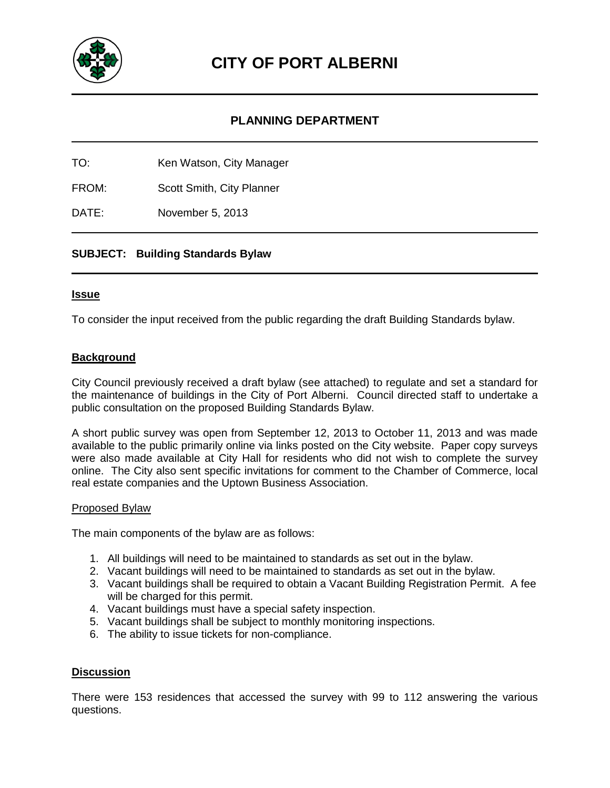

## **PLANNING DEPARTMENT**

TO: Ken Watson, City Manager

FROM: Scott Smith, City Planner

DATE: November 5, 2013

### **SUBJECT: Building Standards Bylaw**

#### **Issue**

To consider the input received from the public regarding the draft Building Standards bylaw.

### **Background**

City Council previously received a draft bylaw (see attached) to regulate and set a standard for the maintenance of buildings in the City of Port Alberni. Council directed staff to undertake a public consultation on the proposed Building Standards Bylaw.

A short public survey was open from September 12, 2013 to October 11, 2013 and was made available to the public primarily online via links posted on the City website. Paper copy surveys were also made available at City Hall for residents who did not wish to complete the survey online. The City also sent specific invitations for comment to the Chamber of Commerce, local real estate companies and the Uptown Business Association.

## Proposed Bylaw

The main components of the bylaw are as follows:

- 1. All buildings will need to be maintained to standards as set out in the bylaw.
- 2. Vacant buildings will need to be maintained to standards as set out in the bylaw.
- 3. Vacant buildings shall be required to obtain a Vacant Building Registration Permit. A fee will be charged for this permit.
- 4. Vacant buildings must have a special safety inspection.
- 5. Vacant buildings shall be subject to monthly monitoring inspections.
- 6. The ability to issue tickets for non-compliance.

#### **Discussion**

There were 153 residences that accessed the survey with 99 to 112 answering the various questions.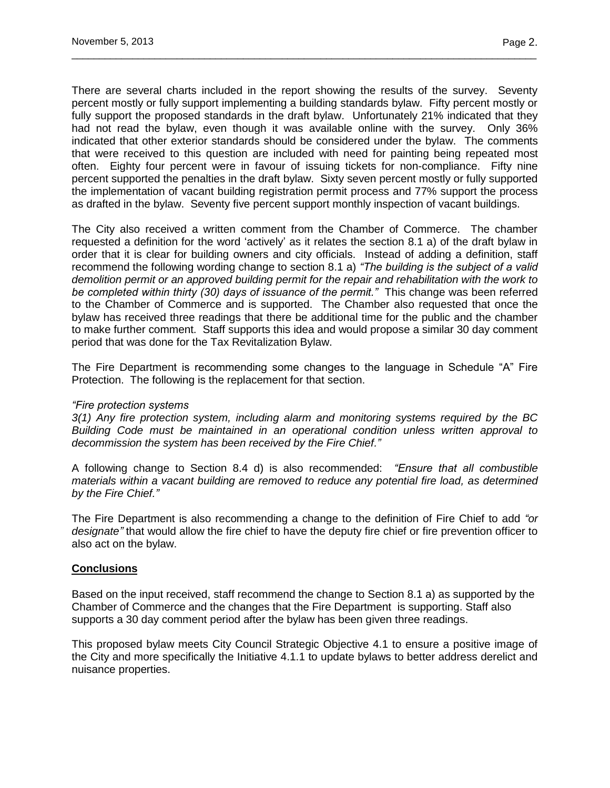There are several charts included in the report showing the results of the survey. Seventy percent mostly or fully support implementing a building standards bylaw. Fifty percent mostly or fully support the proposed standards in the draft bylaw. Unfortunately 21% indicated that they had not read the bylaw, even though it was available online with the survey. Only 36% indicated that other exterior standards should be considered under the bylaw. The comments that were received to this question are included with need for painting being repeated most often. Eighty four percent were in favour of issuing tickets for non-compliance. Fifty nine percent supported the penalties in the draft bylaw. Sixty seven percent mostly or fully supported the implementation of vacant building registration permit process and 77% support the process as drafted in the bylaw. Seventy five percent support monthly inspection of vacant buildings.

\_\_\_\_\_\_\_\_\_\_\_\_\_\_\_\_\_\_\_\_\_\_\_\_\_\_\_\_\_\_\_\_\_\_\_\_\_\_\_\_\_\_\_\_\_\_\_\_\_\_\_\_\_\_\_\_\_\_\_\_\_\_\_\_\_\_\_\_\_\_\_\_\_\_\_\_\_\_\_\_\_\_\_\_

The City also received a written comment from the Chamber of Commerce. The chamber requested a definition for the word "actively" as it relates the section 8.1 a) of the draft bylaw in order that it is clear for building owners and city officials. Instead of adding a definition, staff recommend the following wording change to section 8.1 a) *"The building is the subject of a valid demolition permit or an approved building permit for the repair and rehabilitation with the work to be completed within thirty (30) days of issuance of the permit."* This change was been referred to the Chamber of Commerce and is supported. The Chamber also requested that once the bylaw has received three readings that there be additional time for the public and the chamber to make further comment. Staff supports this idea and would propose a similar 30 day comment period that was done for the Tax Revitalization Bylaw.

The Fire Department is recommending some changes to the language in Schedule "A" Fire Protection. The following is the replacement for that section.

#### *"Fire protection systems*

*3(1) Any fire protection system, including alarm and monitoring systems required by the BC Building Code must be maintained in an operational condition unless written approval to decommission the system has been received by the Fire Chief."*

A following change to Section 8.4 d) is also recommended: *"Ensure that all combustible materials within a vacant building are removed to reduce any potential fire load, as determined by the Fire Chief."* 

The Fire Department is also recommending a change to the definition of Fire Chief to add *"or designate"* that would allow the fire chief to have the deputy fire chief or fire prevention officer to also act on the bylaw.

#### **Conclusions**

Based on the input received, staff recommend the change to Section 8.1 a) as supported by the Chamber of Commerce and the changes that the Fire Department is supporting. Staff also supports a 30 day comment period after the bylaw has been given three readings.

This proposed bylaw meets City Council Strategic Objective 4.1 to ensure a positive image of the City and more specifically the Initiative 4.1.1 to update bylaws to better address derelict and nuisance properties.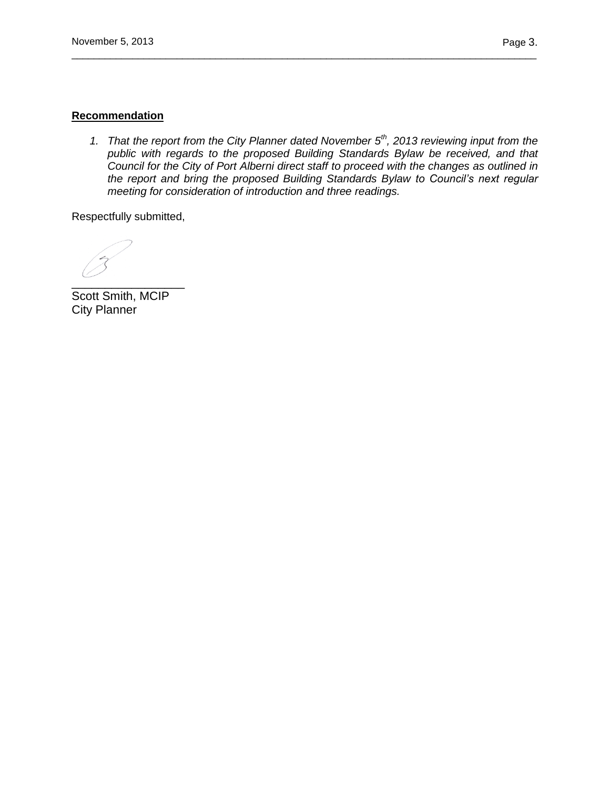### **Recommendation**

*1. That the report from the City Planner dated November 5th, 2013 reviewing input from the public with regards to the proposed Building Standards Bylaw be received, and that Council for the City of Port Alberni direct staff to proceed with the changes as outlined in the report and bring the proposed Building Standards Bylaw to Council's next regular meeting for consideration of introduction and three readings.*

\_\_\_\_\_\_\_\_\_\_\_\_\_\_\_\_\_\_\_\_\_\_\_\_\_\_\_\_\_\_\_\_\_\_\_\_\_\_\_\_\_\_\_\_\_\_\_\_\_\_\_\_\_\_\_\_\_\_\_\_\_\_\_\_\_\_\_\_\_\_\_\_\_\_\_\_\_\_\_\_\_\_\_\_

Respectfully submitted,

 $\overline{\phantom{a}}$  ,  $\overline{\phantom{a}}$  ,  $\overline{\phantom{a}}$  ,  $\overline{\phantom{a}}$  ,  $\overline{\phantom{a}}$  ,  $\overline{\phantom{a}}$  ,  $\overline{\phantom{a}}$  ,  $\overline{\phantom{a}}$  ,  $\overline{\phantom{a}}$  ,  $\overline{\phantom{a}}$  ,  $\overline{\phantom{a}}$  ,  $\overline{\phantom{a}}$  ,  $\overline{\phantom{a}}$  ,  $\overline{\phantom{a}}$  ,  $\overline{\phantom{a}}$  ,  $\overline{\phantom{a}}$ 

Scott Smith, MCIP City Planner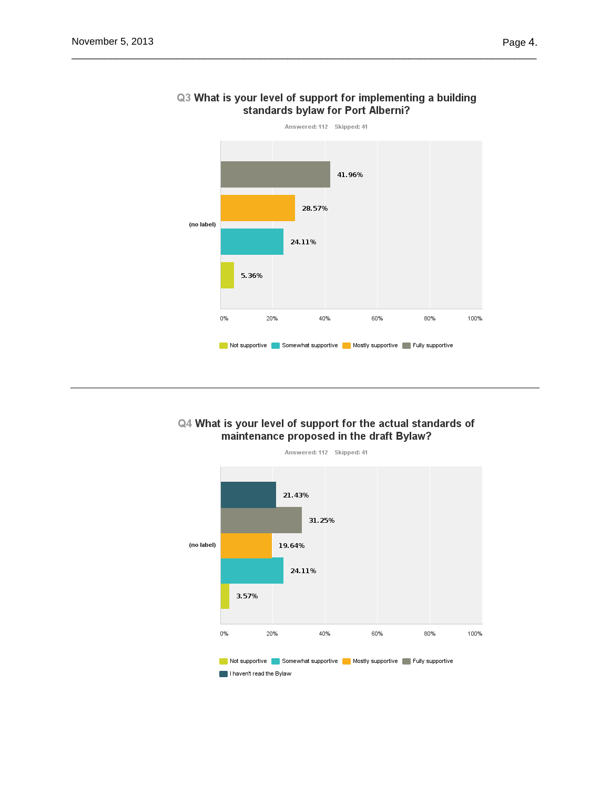

### Q3 What is your level of support for implementing a building standards bylaw for Port Alberni?

### Q4 What is your level of support for the actual standards of maintenance proposed in the draft Bylaw?

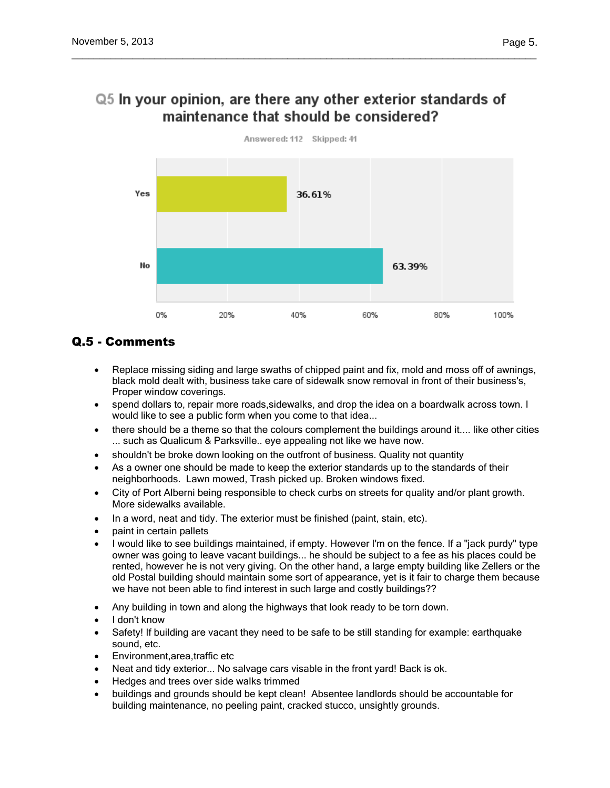## Q5 In your opinion, are there any other exterior standards of maintenance that should be considered?

\_\_\_\_\_\_\_\_\_\_\_\_\_\_\_\_\_\_\_\_\_\_\_\_\_\_\_\_\_\_\_\_\_\_\_\_\_\_\_\_\_\_\_\_\_\_\_\_\_\_\_\_\_\_\_\_\_\_\_\_\_\_\_\_\_\_\_\_\_\_\_\_\_\_\_\_\_\_\_\_\_\_\_\_



## Q.5 - Comments

- Replace missing siding and large swaths of chipped paint and fix, mold and moss off of awnings, black mold dealt with, business take care of sidewalk snow removal in front of their business's, Proper window coverings.
- spend dollars to, repair more roads,sidewalks, and drop the idea on a boardwalk across town. I would like to see a public form when you come to that idea...
- there should be a theme so that the colours complement the buildings around it.... like other cities ... such as Qualicum & Parksville.. eve appealing not like we have now.
- shouldn't be broke down looking on the outfront of business. Quality not quantity
- As a owner one should be made to keep the exterior standards up to the standards of their neighborhoods. Lawn mowed, Trash picked up. Broken windows fixed.
- City of Port Alberni being responsible to check curbs on streets for quality and/or plant growth. More sidewalks available.
- In a word, neat and tidy. The exterior must be finished (paint, stain, etc).
- paint in certain pallets
- I would like to see buildings maintained, if empty. However I'm on the fence. If a "jack purdy" type owner was going to leave vacant buildings... he should be subject to a fee as his places could be rented, however he is not very giving. On the other hand, a large empty building like Zellers or the old Postal building should maintain some sort of appearance, yet is it fair to charge them because we have not been able to find interest in such large and costly buildings??
- Any building in town and along the highways that look ready to be torn down.
- I don't know
- Safety! If building are vacant they need to be safe to be still standing for example: earthquake sound, etc.
- Environment,area,traffic etc
- Neat and tidy exterior... No salvage cars visable in the front yard! Back is ok.
- Hedges and trees over side walks trimmed
- buildings and grounds should be kept clean! Absentee landlords should be accountable for building maintenance, no peeling paint, cracked stucco, unsightly grounds.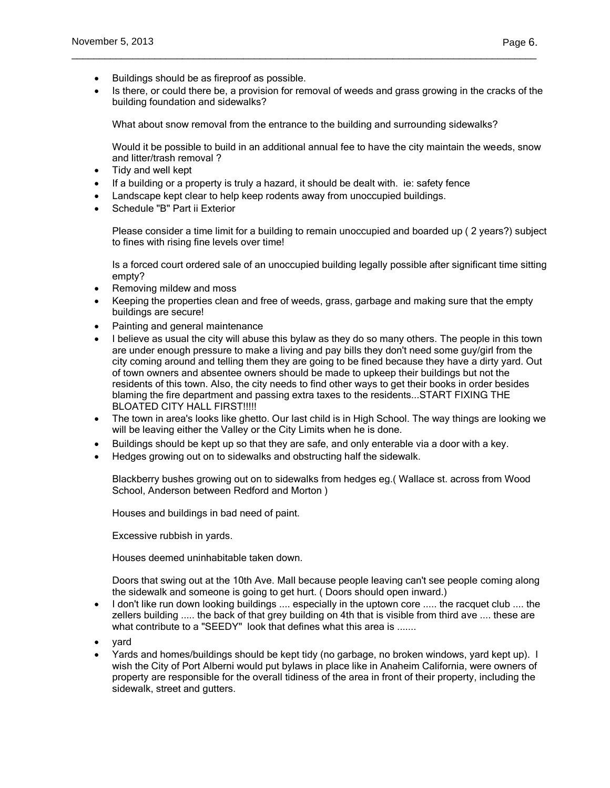- Buildings should be as fireproof as possible.
- Is there, or could there be, a provision for removal of weeds and grass growing in the cracks of the building foundation and sidewalks?

What about snow removal from the entrance to the building and surrounding sidewalks?

\_\_\_\_\_\_\_\_\_\_\_\_\_\_\_\_\_\_\_\_\_\_\_\_\_\_\_\_\_\_\_\_\_\_\_\_\_\_\_\_\_\_\_\_\_\_\_\_\_\_\_\_\_\_\_\_\_\_\_\_\_\_\_\_\_\_\_\_\_\_\_\_\_\_\_\_\_\_\_\_\_\_\_\_

Would it be possible to build in an additional annual fee to have the city maintain the weeds, snow and litter/trash removal ?

- Tidy and well kept
- If a building or a property is truly a hazard, it should be dealt with. ie: safety fence
- Landscape kept clear to help keep rodents away from unoccupied buildings.
- Schedule "B" Part ii Exterior

Please consider a time limit for a building to remain unoccupied and boarded up ( 2 years?) subject to fines with rising fine levels over time!

Is a forced court ordered sale of an unoccupied building legally possible after significant time sitting empty?

- Removing mildew and moss
- Keeping the properties clean and free of weeds, grass, garbage and making sure that the empty buildings are secure!
- Painting and general maintenance
- I believe as usual the city will abuse this bylaw as they do so many others. The people in this town are under enough pressure to make a living and pay bills they don't need some guy/girl from the city coming around and telling them they are going to be fined because they have a dirty yard. Out of town owners and absentee owners should be made to upkeep their buildings but not the residents of this town. Also, the city needs to find other ways to get their books in order besides blaming the fire department and passing extra taxes to the residents...START FIXING THE BLOATED CITY HALL FIRST!!!!!
- The town in area's looks like ghetto. Our last child is in High School. The way things are looking we will be leaving either the Valley or the City Limits when he is done.
- Buildings should be kept up so that they are safe, and only enterable via a door with a key.
- Hedges growing out on to sidewalks and obstructing half the sidewalk.

Blackberry bushes growing out on to sidewalks from hedges eg.( Wallace st. across from Wood School, Anderson between Redford and Morton )

Houses and buildings in bad need of paint.

Excessive rubbish in yards.

Houses deemed uninhabitable taken down.

Doors that swing out at the 10th Ave. Mall because people leaving can't see people coming along the sidewalk and someone is going to get hurt. ( Doors should open inward.)

- I don't like run down looking buildings .... especially in the uptown core ..... the racquet club .... the zellers building ..... the back of that grey building on 4th that is visible from third ave .... these are what contribute to a "SEEDY" look that defines what this area is .......
- yard
- Yards and homes/buildings should be kept tidy (no garbage, no broken windows, yard kept up). I wish the City of Port Alberni would put bylaws in place like in Anaheim California, were owners of property are responsible for the overall tidiness of the area in front of their property, including the sidewalk, street and gutters.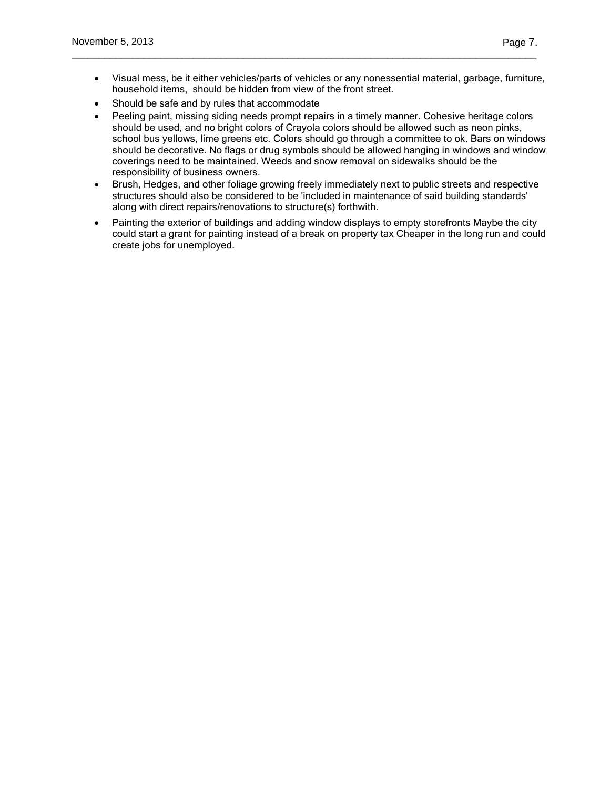Visual mess, be it either vehicles/parts of vehicles or any nonessential material, garbage, furniture, household items, should be hidden from view of the front street.

\_\_\_\_\_\_\_\_\_\_\_\_\_\_\_\_\_\_\_\_\_\_\_\_\_\_\_\_\_\_\_\_\_\_\_\_\_\_\_\_\_\_\_\_\_\_\_\_\_\_\_\_\_\_\_\_\_\_\_\_\_\_\_\_\_\_\_\_\_\_\_\_\_\_\_\_\_\_\_\_\_\_\_\_

- Should be safe and by rules that accommodate
- Peeling paint, missing siding needs prompt repairs in a timely manner. Cohesive heritage colors should be used, and no bright colors of Crayola colors should be allowed such as neon pinks, school bus yellows, lime greens etc. Colors should go through a committee to ok. Bars on windows should be decorative. No flags or drug symbols should be allowed hanging in windows and window coverings need to be maintained. Weeds and snow removal on sidewalks should be the responsibility of business owners.
- Brush, Hedges, and other foliage growing freely immediately next to public streets and respective structures should also be considered to be 'included in maintenance of said building standards' along with direct repairs/renovations to structure(s) forthwith.
- Painting the exterior of buildings and adding window displays to empty storefronts Maybe the city could start a grant for painting instead of a break on property tax Cheaper in the long run and could create jobs for unemployed.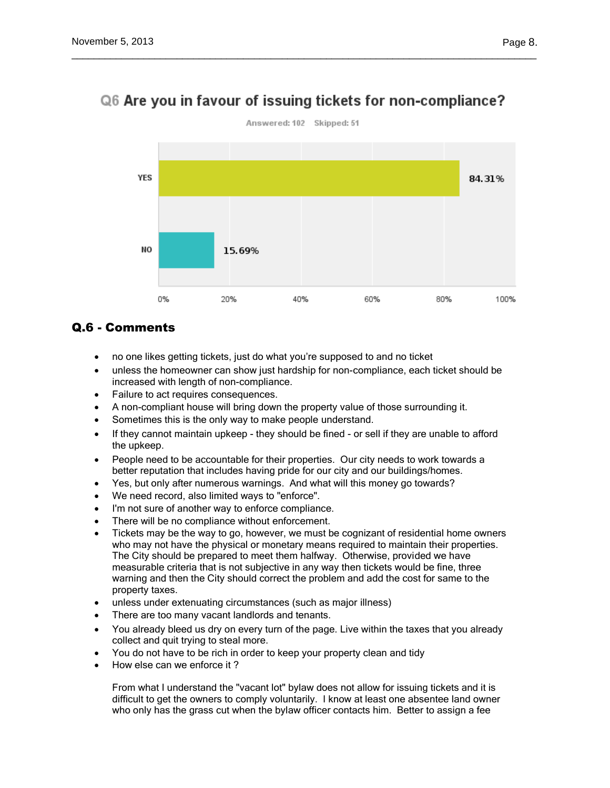

# Q6 Are you in favour of issuing tickets for non-compliance?

\_\_\_\_\_\_\_\_\_\_\_\_\_\_\_\_\_\_\_\_\_\_\_\_\_\_\_\_\_\_\_\_\_\_\_\_\_\_\_\_\_\_\_\_\_\_\_\_\_\_\_\_\_\_\_\_\_\_\_\_\_\_\_\_\_\_\_\_\_\_\_\_\_\_\_\_\_\_\_\_\_\_\_\_

## Q.6 - Comments

- no one likes getting tickets, just do what you're supposed to and no ticket
- unless the homeowner can show just hardship for non-compliance, each ticket should be increased with length of non-compliance.
- Failure to act requires consequences.
- A non-compliant house will bring down the property value of those surrounding it.
- Sometimes this is the only way to make people understand.
- If they cannot maintain upkeep they should be fined or sell if they are unable to afford the upkeep.
- People need to be accountable for their properties. Our city needs to work towards a better reputation that includes having pride for our city and our buildings/homes.
- Yes, but only after numerous warnings. And what will this money go towards?
- We need record, also limited ways to "enforce".
- I'm not sure of another way to enforce compliance.
- There will be no compliance without enforcement.
- Tickets may be the way to go, however, we must be cognizant of residential home owners who may not have the physical or monetary means required to maintain their properties. The City should be prepared to meet them halfway. Otherwise, provided we have measurable criteria that is not subjective in any way then tickets would be fine, three warning and then the City should correct the problem and add the cost for same to the property taxes.
- unless under extenuating circumstances (such as major illness)
- There are too many vacant landlords and tenants.
- You already bleed us dry on every turn of the page. Live within the taxes that you already collect and quit trying to steal more.
- You do not have to be rich in order to keep your property clean and tidy
- How else can we enforce it ?

From what I understand the "vacant lot" bylaw does not allow for issuing tickets and it is difficult to get the owners to comply voluntarily. I know at least one absentee land owner who only has the grass cut when the bylaw officer contacts him. Better to assign a fee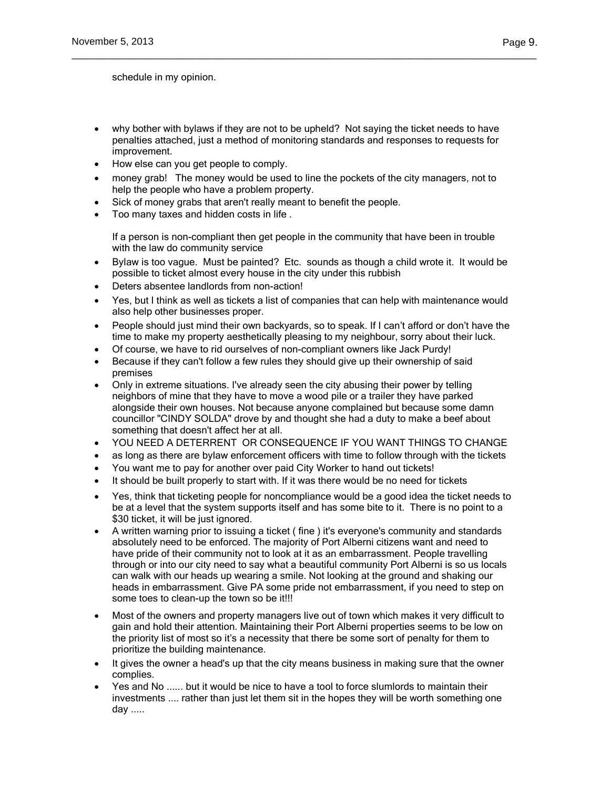schedule in my opinion.

 why bother with bylaws if they are not to be upheld? Not saying the ticket needs to have penalties attached, just a method of monitoring standards and responses to requests for improvement.

\_\_\_\_\_\_\_\_\_\_\_\_\_\_\_\_\_\_\_\_\_\_\_\_\_\_\_\_\_\_\_\_\_\_\_\_\_\_\_\_\_\_\_\_\_\_\_\_\_\_\_\_\_\_\_\_\_\_\_\_\_\_\_\_\_\_\_\_\_\_\_\_\_\_\_\_\_\_\_\_\_\_\_\_

- How else can you get people to comply.
- money grab! The money would be used to line the pockets of the city managers, not to help the people who have a problem property.
- Sick of money grabs that aren't really meant to benefit the people.
- Too many taxes and hidden costs in life .

If a person is non-compliant then get people in the community that have been in trouble with the law do community service

- Bylaw is too vague. Must be painted? Etc. sounds as though a child wrote it. It would be possible to ticket almost every house in the city under this rubbish
- Deters absentee landlords from non-action!
- Yes, but I think as well as tickets a list of companies that can help with maintenance would also help other businesses proper.
- People should just mind their own backyards, so to speak. If I can't afford or don't have the time to make my property aesthetically pleasing to my neighbour, sorry about their luck.
- Of course, we have to rid ourselves of non-compliant owners like Jack Purdy!
- Because if they can't follow a few rules they should give up their ownership of said premises
- Only in extreme situations. I've already seen the city abusing their power by telling neighbors of mine that they have to move a wood pile or a trailer they have parked alongside their own houses. Not because anyone complained but because some damn councillor "CINDY SOLDA" drove by and thought she had a duty to make a beef about something that doesn't affect her at all.
- YOU NEED A DETERRENT OR CONSEQUENCE IF YOU WANT THINGS TO CHANGE
- as long as there are bylaw enforcement officers with time to follow through with the tickets
- You want me to pay for another over paid City Worker to hand out tickets!
- It should be built properly to start with. If it was there would be no need for tickets
- Yes, think that ticketing people for noncompliance would be a good idea the ticket needs to be at a level that the system supports itself and has some bite to it. There is no point to a \$30 ticket, it will be just ignored.
- A written warning prior to issuing a ticket ( fine ) it's everyone's community and standards absolutely need to be enforced. The majority of Port Alberni citizens want and need to have pride of their community not to look at it as an embarrassment. People travelling through or into our city need to say what a beautiful community Port Alberni is so us locals can walk with our heads up wearing a smile. Not looking at the ground and shaking our heads in embarrassment. Give PA some pride not embarrassment, if you need to step on some toes to clean-up the town so be it!!!
- Most of the owners and property managers live out of town which makes it very difficult to gain and hold their attention. Maintaining their Port Alberni properties seems to be low on the priority list of most so it's a necessity that there be some sort of penalty for them to prioritize the building maintenance.
- It gives the owner a head's up that the city means business in making sure that the owner complies.
- Yes and No ...... but it would be nice to have a tool to force slumlords to maintain their investments .... rather than just let them sit in the hopes they will be worth something one day .....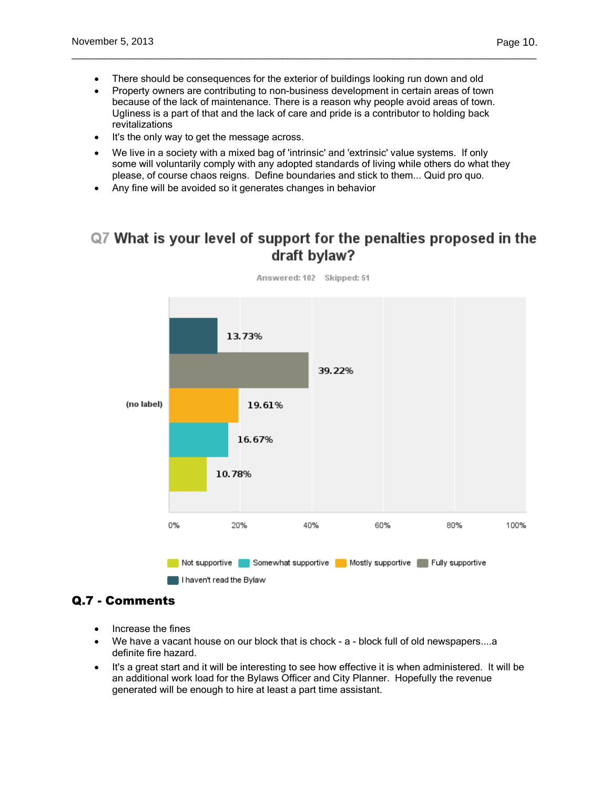There should be consequences for the exterior of buildings looking run down and old

\_\_\_\_\_\_\_\_\_\_\_\_\_\_\_\_\_\_\_\_\_\_\_\_\_\_\_\_\_\_\_\_\_\_\_\_\_\_\_\_\_\_\_\_\_\_\_\_\_\_\_\_\_\_\_\_\_\_\_\_\_\_\_\_\_\_\_\_\_\_\_\_\_\_\_\_\_\_\_\_\_\_\_\_

- Property owners are contributing to non-business development in certain areas of town because of the lack of maintenance. There is a reason why people avoid areas of town. Ugliness is a part of that and the lack of care and pride is a contributor to holding back revitalizations
- It's the only way to get the message across.
- We live in a society with a mixed bag of 'intrinsic' and 'extrinsic' value systems. If only some will voluntarily comply with any adopted standards of living while others do what they please, of course chaos reigns. Define boundaries and stick to them... Quid pro quo.
- Any fine will be avoided so it generates changes in behavior

# Q7 What is your level of support for the penalties proposed in the draft bylaw?



## Answered: 102 Skipped: 51

## Q.7 - Comments

- Increase the fines
- We have a vacant house on our block that is chock a block full of old newspapers....a definite fire hazard.
- It's a great start and it will be interesting to see how effective it is when administered. It will be an additional work load for the Bylaws Officer and City Planner. Hopefully the revenue generated will be enough to hire at least a part time assistant.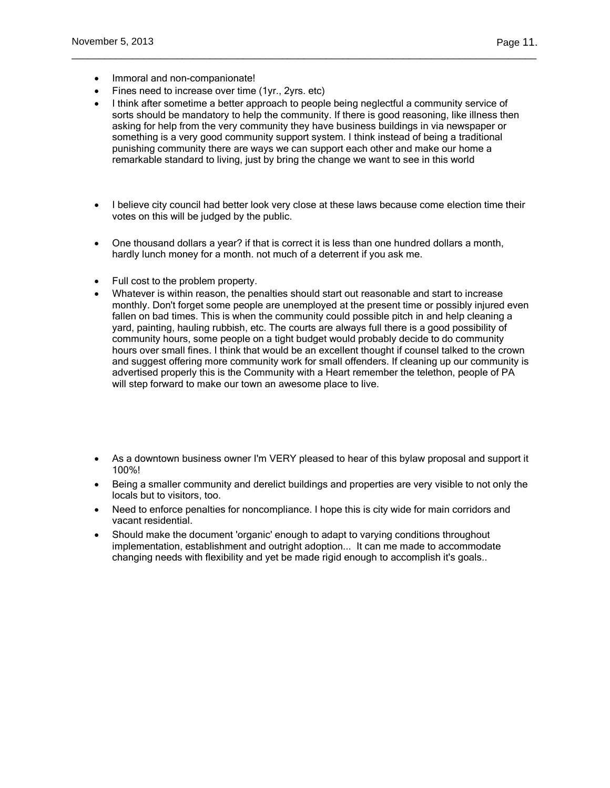- Immoral and non-companionate!
- Fines need to increase over time (1yr., 2yrs. etc)
- I think after sometime a better approach to people being neglectful a community service of sorts should be mandatory to help the community. If there is good reasoning, like illness then asking for help from the very community they have business buildings in via newspaper or something is a very good community support system. I think instead of being a traditional punishing community there are ways we can support each other and make our home a remarkable standard to living, just by bring the change we want to see in this world

\_\_\_\_\_\_\_\_\_\_\_\_\_\_\_\_\_\_\_\_\_\_\_\_\_\_\_\_\_\_\_\_\_\_\_\_\_\_\_\_\_\_\_\_\_\_\_\_\_\_\_\_\_\_\_\_\_\_\_\_\_\_\_\_\_\_\_\_\_\_\_\_\_\_\_\_\_\_\_\_\_\_\_\_

- I believe city council had better look very close at these laws because come election time their votes on this will be judged by the public.
- One thousand dollars a year? if that is correct it is less than one hundred dollars a month, hardly lunch money for a month. not much of a deterrent if you ask me.
- Full cost to the problem property.
- Whatever is within reason, the penalties should start out reasonable and start to increase monthly. Don't forget some people are unemployed at the present time or possibly injured even fallen on bad times. This is when the community could possible pitch in and help cleaning a yard, painting, hauling rubbish, etc. The courts are always full there is a good possibility of community hours, some people on a tight budget would probably decide to do community hours over small fines. I think that would be an excellent thought if counsel talked to the crown and suggest offering more community work for small offenders. If cleaning up our community is advertised properly this is the Community with a Heart remember the telethon, people of PA will step forward to make our town an awesome place to live.
- As a downtown business owner I'm VERY pleased to hear of this bylaw proposal and support it 100%!
- Being a smaller community and derelict buildings and properties are very visible to not only the locals but to visitors, too.
- Need to enforce penalties for noncompliance. I hope this is city wide for main corridors and vacant residential.
- Should make the document 'organic' enough to adapt to varying conditions throughout implementation, establishment and outright adoption... It can me made to accommodate changing needs with flexibility and yet be made rigid enough to accomplish it's goals..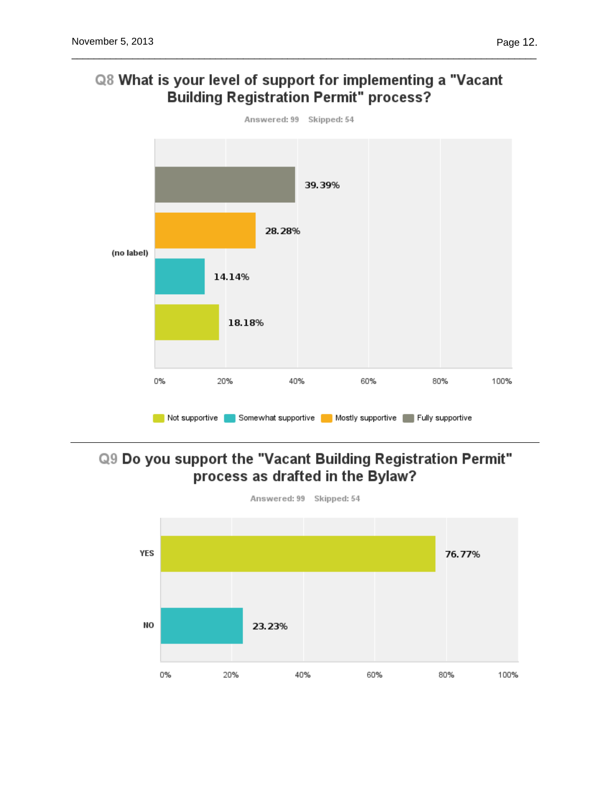



# Q9 Do you support the "Vacant Building Registration Permit" process as drafted in the Bylaw?

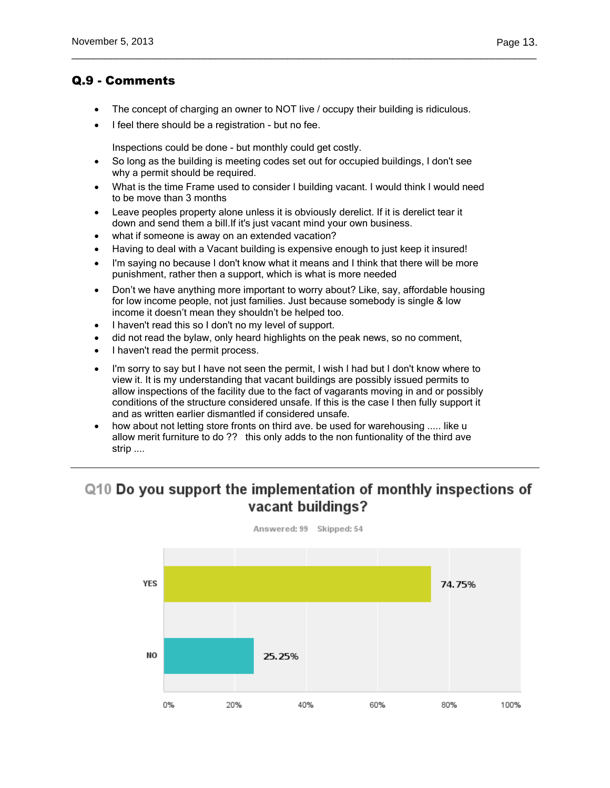## Q.9 - Comments

The concept of charging an owner to NOT live / occupy their building is ridiculous.

\_\_\_\_\_\_\_\_\_\_\_\_\_\_\_\_\_\_\_\_\_\_\_\_\_\_\_\_\_\_\_\_\_\_\_\_\_\_\_\_\_\_\_\_\_\_\_\_\_\_\_\_\_\_\_\_\_\_\_\_\_\_\_\_\_\_\_\_\_\_\_\_\_\_\_\_\_\_\_\_\_\_\_\_

I feel there should be a registration - but no fee.

Inspections could be done - but monthly could get costly.

- So long as the building is meeting codes set out for occupied buildings, I don't see why a permit should be required.
- What is the time Frame used to consider I building vacant. I would think I would need to be move than 3 months
- Leave peoples property alone unless it is obviously derelict. If it is derelict tear it down and send them a bill.If it's just vacant mind your own business.
- what if someone is away on an extended vacation?
- Having to deal with a Vacant building is expensive enough to just keep it insured!
- I'm saying no because I don't know what it means and I think that there will be more punishment, rather then a support, which is what is more needed
- Don't we have anything more important to worry about? Like, say, affordable housing for low income people, not just families. Just because somebody is single & low income it doesn't mean they shouldn't be helped too.
- I haven't read this so I don't no my level of support.
- did not read the bylaw, only heard highlights on the peak news, so no comment,
- I haven't read the permit process.
- I'm sorry to say but I have not seen the permit, I wish I had but I don't know where to view it. It is my understanding that vacant buildings are possibly issued permits to allow inspections of the facility due to the fact of vagarants moving in and or possibly conditions of the structure considered unsafe. If this is the case I then fully support it and as written earlier dismantled if considered unsafe.
- how about not letting store fronts on third ave. be used for warehousing ..... like u allow merit furniture to do ?? this only adds to the non funtionality of the third ave strip ....

# Q10 Do you support the implementation of monthly inspections of vacant buildings?

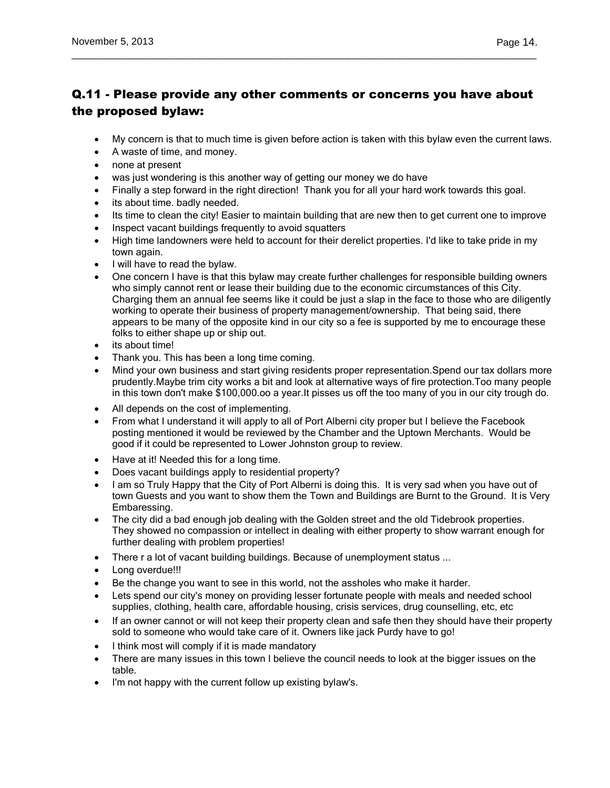## Q.11 - Please provide any other comments or concerns you have about the proposed bylaw:

\_\_\_\_\_\_\_\_\_\_\_\_\_\_\_\_\_\_\_\_\_\_\_\_\_\_\_\_\_\_\_\_\_\_\_\_\_\_\_\_\_\_\_\_\_\_\_\_\_\_\_\_\_\_\_\_\_\_\_\_\_\_\_\_\_\_\_\_\_\_\_\_\_\_\_\_\_\_\_\_\_\_\_\_

- My concern is that to much time is given before action is taken with this bylaw even the current laws.
- A waste of time, and money.
- none at present
- was just wondering is this another way of getting our money we do have
- Finally a step forward in the right direction! Thank you for all your hard work towards this goal.
- its about time. badly needed.
- Its time to clean the city! Easier to maintain building that are new then to get current one to improve
- Inspect vacant buildings frequently to avoid squatters
- High time landowners were held to account for their derelict properties. I'd like to take pride in my town again.
- I will have to read the bylaw.
- One concern I have is that this bylaw may create further challenges for responsible building owners who simply cannot rent or lease their building due to the economic circumstances of this City. Charging them an annual fee seems like it could be just a slap in the face to those who are diligently working to operate their business of property management/ownership. That being said, there appears to be many of the opposite kind in our city so a fee is supported by me to encourage these folks to either shape up or ship out.
- its about time!
- Thank you. This has been a long time coming.
- Mind your own business and start giving residents proper representation. Spend our tax dollars more prudently.Maybe trim city works a bit and look at alternative ways of fire protection.Too many people in this town don't make \$100,000.oo a year.It pisses us off the too many of you in our city trough do.
- All depends on the cost of implementing.
- From what I understand it will apply to all of Port Alberni city proper but I believe the Facebook posting mentioned it would be reviewed by the Chamber and the Uptown Merchants. Would be good if it could be represented to Lower Johnston group to review.
- Have at it! Needed this for a long time.
- Does vacant buildings apply to residential property?
- I am so Truly Happy that the City of Port Alberni is doing this. It is very sad when you have out of town Guests and you want to show them the Town and Buildings are Burnt to the Ground. It is Very Embaressing.
- The city did a bad enough job dealing with the Golden street and the old Tidebrook properties. They showed no compassion or intellect in dealing with either property to show warrant enough for further dealing with problem properties!
- There r a lot of vacant building buildings. Because of unemployment status ...
- Long overdue!!!
- Be the change you want to see in this world, not the assholes who make it harder.
- Lets spend our city's money on providing lesser fortunate people with meals and needed school supplies, clothing, health care, affordable housing, crisis services, drug counselling, etc, etc
- If an owner cannot or will not keep their property clean and safe then they should have their property sold to someone who would take care of it. Owners like jack Purdy have to go!
- I think most will comply if it is made mandatory
- There are many issues in this town I believe the council needs to look at the bigger issues on the table.
- I'm not happy with the current follow up existing bylaw's.